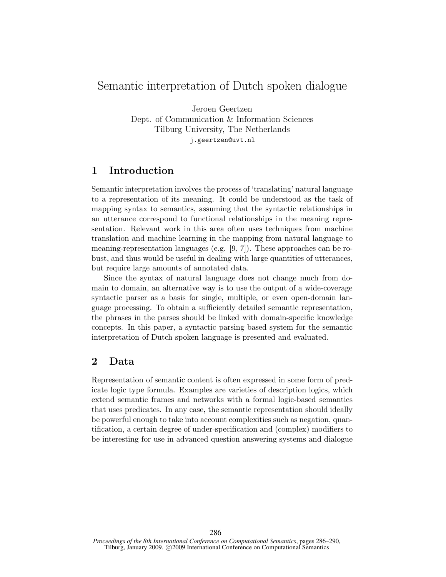# Semantic interpretation of Dutch spoken dialogue

Jeroen Geertzen Dept. of Communication & Information Sciences Tilburg University, The Netherlands j.geertzen@uvt.nl

## 1 Introduction

Semantic interpretation involves the process of 'translating' natural language to a representation of its meaning. It could be understood as the task of mapping syntax to semantics, assuming that the syntactic relationships in an utterance correspond to functional relationships in the meaning representation. Relevant work in this area often uses techniques from machine translation and machine learning in the mapping from natural language to meaning-representation languages (e.g. [9, 7]). These approaches can be robust, and thus would be useful in dealing with large quantities of utterances, but require large amounts of annotated data.

Since the syntax of natural language does not change much from domain to domain, an alternative way is to use the output of a wide-coverage syntactic parser as a basis for single, multiple, or even open-domain language processing. To obtain a sufficiently detailed semantic representation, the phrases in the parses should be linked with domain-specific knowledge concepts. In this paper, a syntactic parsing based system for the semantic interpretation of Dutch spoken language is presented and evaluated.

## 2 Data

Representation of semantic content is often expressed in some form of predicate logic type formula. Examples are varieties of description logics, which extend semantic frames and networks with a formal logic-based semantics that uses predicates. In any case, the semantic representation should ideally be powerful enough to take into account complexities such as negation, quantification, a certain degree of under-specification and (complex) modifiers to be interesting for use in advanced question answering systems and dialogue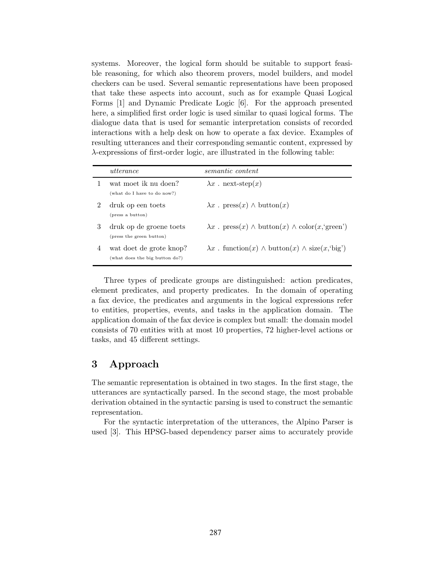systems. Moreover, the logical form should be suitable to support feasible reasoning, for which also theorem provers, model builders, and model checkers can be used. Several semantic representations have been proposed that take these aspects into account, such as for example Quasi Logical Forms [1] and Dynamic Predicate Logic [6]. For the approach presented here, a simplified first order logic is used similar to quasi logical forms. The dialogue data that is used for semantic interpretation consists of recorded interactions with a help desk on how to operate a fax device. Examples of resulting utterances and their corresponding semantic content, expressed by λ-expressions of first-order logic, are illustrated in the following table:

|   | utterance                                                 | semantic content                                                                       |
|---|-----------------------------------------------------------|----------------------------------------------------------------------------------------|
|   | wat moet ik nu doen?<br>(what do I have to do now?)       | $\lambda x$ ext-step(x)                                                                |
|   | druk op een toets<br>(press a button)                     | $\lambda x$ . press $(x) \wedge$ button $(x)$                                          |
| 3 | druk op de groene toets<br>(press the green button)       | $\lambda x$ . press $(x) \wedge \text{button}(x) \wedge \text{color}(x, \text{green})$ |
| 4 | wat doet de grote knop?<br>(what does the big button do?) | $\lambda x$ . function(x) $\wedge$ button(x) $\wedge$ size(x, big)                     |

Three types of predicate groups are distinguished: action predicates, element predicates, and property predicates. In the domain of operating a fax device, the predicates and arguments in the logical expressions refer to entities, properties, events, and tasks in the application domain. The application domain of the fax device is complex but small: the domain model consists of 70 entities with at most 10 properties, 72 higher-level actions or tasks, and 45 different settings.

## 3 Approach

The semantic representation is obtained in two stages. In the first stage, the utterances are syntactically parsed. In the second stage, the most probable derivation obtained in the syntactic parsing is used to construct the semantic representation.

For the syntactic interpretation of the utterances, the Alpino Parser is used [3]. This HPSG-based dependency parser aims to accurately provide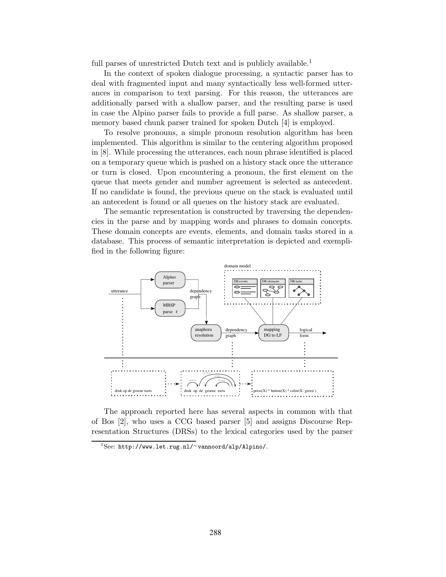full parses of unrestricted Dutch text and is publicly available.<sup>1</sup>

In the context of spoken dialogue processing, a syntactic parser has to deal with fragmented input and many syntactically less well-formed utterances in comparison to text parsing. For this reason, the utterances are additionally parsed with a shallow parser, and the resulting parse is used in case the Alpino parser fails to provide a full parse. As shallow parser, a memory based chunk parser trained for spoken Dutch [4] is employed.

To resolve pronouns, a simple pronoun resolution algorithm has been implemented. This algorithm is similar to the centering algorithm proposed in [8]. While processing the utterances, each noun phrase identified is placed on a temporary queue which is pushed on a history stack once the utterance or turn is closed. Upon encountering a pronoun, the first element on the queue that meets gender and number agreement is selected as antecedent. If no candidate is found, the previous queue on the stack is evaluated until an antecedent is found or all queues on the history stack are evaluated.

The semantic representation is constructed by traversing the dependencies in the parse and by mapping words and phrases to domain concepts. These domain concepts are events, elements, and domain tasks stored in a database. This process of semantic interpretation is depicted and exemplified in the following figure:



The approach reported here has several aspects in common with that of Bos [2], who uses a CCG based parser [5] and assigns Discourse Representation Structures (DRSs) to the lexical categories used by the parser

 $1$ See: http://www.let.rug.nl/∼vannoord/alp/Alpino/.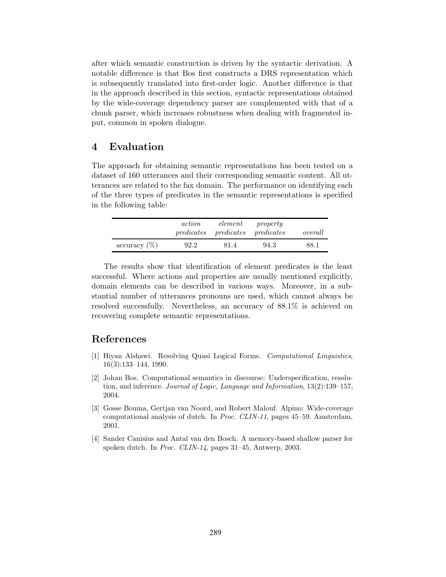after which semantic construction is driven by the syntactic derivation. A notable difference is that Bos first constructs a DRS representation which is subsequently translated into first-order logic. Another difference is that in the approach described in this section, syntactic representations obtained by the wide-coverage dependency parser are complemented with that of a chunk parser, which increases robustness when dealing with fragmented input, common in spoken dialogue.

#### 4 Evaluation

The approach for obtaining semantic representations has been tested on a dataset of 160 utterances and their corresponding semantic content. All utterances are related to the fax domain. The performance on identifying each of the three types of predicates in the semantic representations is specified in the following table:

|                     | action | element<br>predicates predicates predicates | property | overall |
|---------------------|--------|---------------------------------------------|----------|---------|
| $\arccuracy$ $(\%)$ | 92.2   | 81.4                                        | 94.3     | 88.1    |

The results show that identification of element predicates is the least successful. Where actions and properties are usually mentioned explicitly, domain elements can be described in various ways. Moreover, in a substantial number of utterances pronouns are used, which cannot always be resolved successfully. Nevertheless, an accuracy of 88.1% is achieved on recovering complete semantic representations.

#### References

- [1] Hiyan Alshawi. Resolving Quasi Logical Forms. Computational Linguistics, 16(3):133–144, 1990.
- [2] Johan Bos. Computational semantics in discourse: Underspecification, resolution, and inference. Journal of Logic, Language and Information, 13(2):139–157, 2004.
- [3] Gosse Bouma, Gertjan van Noord, and Robert Malouf. Alpino: Wide-coverage computational analysis of dutch. In Proc. CLIN-11, pages 45–59. Amsterdam, 2001.
- [4] Sander Canisius and Antal van den Bosch. A memory-based shallow parser for spoken dutch. In Proc. CLIN-14, pages 31–45, Antwerp, 2003.